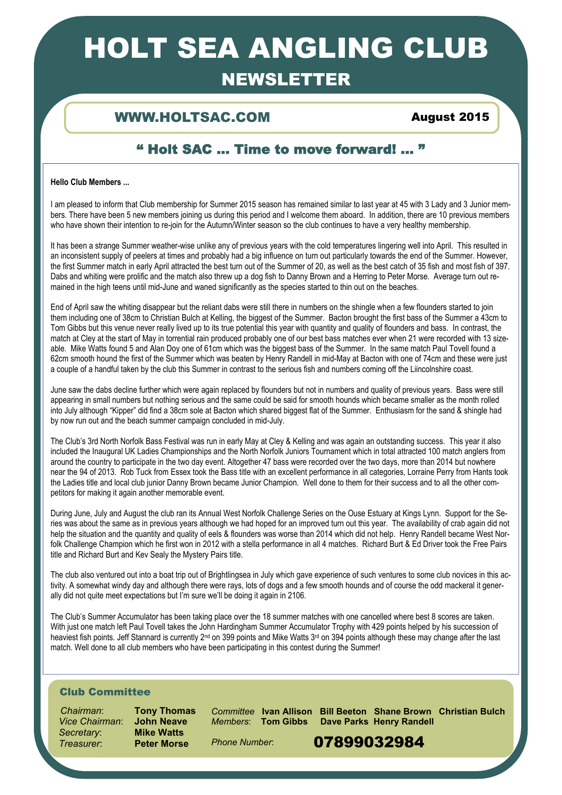# HOLT SEA ANGLING CLUB

# NEWSLETTER

## WWW.HOLTSAC.COM August 2015

## " Holt SAC … Time to move forward! ... "

### **Hello Club Members ...**

I am pleased to inform that Club membership for Summer 2015 season has remained similar to last year at 45 with 3 Lady and 3 Junior members. There have been 5 new members joining us during this period and I welcome them aboard. In addition, there are 10 previous members who have shown their intention to re-join for the Autumn/Winter season so the club continues to have a very healthy membership.

It has been a strange Summer weather-wise unlike any of previous years with the cold temperatures lingering well into April. This resulted in an inconsistent supply of peelers at times and probably had a big influence on turn out particularly towards the end of the Summer. However, the first Summer match in early April attracted the best turn out of the Summer of 20, as well as the best catch of 35 fish and most fish of 397. Dabs and whiting were prolific and the match also threw up a dog fish to Danny Brown and a Herring to Peter Morse. Average turn out remained in the high teens until mid-June and waned significantly as the species started to thin out on the beaches.

End of April saw the whiting disappear but the reliant dabs were still there in numbers on the shingle when a few flounders started to join them including one of 38cm to Christian Bulch at Kelling, the biggest of the Summer. Bacton brought the first bass of the Summer a 43cm to Tom Gibbs but this venue never really lived up to its true potential this year with quantity and quality of flounders and bass. In contrast, the match at Cley at the start of May in torrential rain produced probably one of our best bass matches ever when 21 were recorded with 13 sizeable. Mike Watts found 5 and Alan Doy one of 61cm which was the biggest bass of the Summer. In the same match Paul Tovell found a 62cm smooth hound the first of the Summer which was beaten by Henry Randell in mid-May at Bacton with one of 74cm and these were just a couple of a handful taken by the club this Summer in contrast to the serious fish and numbers coming off the Liincolnshire coast.

June saw the dabs decline further which were again replaced by flounders but not in numbers and quality of previous years. Bass were still appearing in small numbers but nothing serious and the same could be said for smooth hounds which became smaller as the month rolled into July although "Kipper" did find a 38cm sole at Bacton which shared biggest flat of the Summer. Enthusiasm for the sand & shingle had by now run out and the beach summer campaign concluded in mid-July.

The Club's 3rd North Norfolk Bass Festival was run in early May at Cley & Kelling and was again an outstanding success. This year it also included the Inaugural UK Ladies Championships and the North Norfolk Juniors Tournament which in total attracted 100 match anglers from around the country to participate in the two day event. Altogether 47 bass were recorded over the two days, more than 2014 but nowhere near the 94 of 2013. Rob Tuck from Essex took the Bass title with an excellent performance in all categories, Lorraine Perry from Hants took the Ladies title and local club junior Danny Brown became Junior Champion. Well done to them for their success and to all the other competitors for making it again another memorable event.

During June, July and August the club ran its Annual West Norfolk Challenge Series on the Ouse Estuary at Kings Lynn. Support for the Series was about the same as in previous years although we had hoped for an improved turn out this year. The availability of crab again did not help the situation and the quantity and quality of eels & flounders was worse than 2014 which did not help. Henry Randell became West Norfolk Challenge Champion which he first won in 2012 with a stella performance in all 4 matches. Richard Burt & Ed Driver took the Free Pairs title and Richard Burt and Kev Sealy the Mystery Pairs title.

The club also ventured out into a boat trip out of Brightlingsea in July which gave experience of such ventures to some club novices in this activity. A somewhat windy day and although there were rays, lots of dogs and a few smooth hounds and of course the odd mackeral it generally did not quite meet expectations but I'm sure we'll be doing it again in 2106.

The Club's Summer Accumulator has been taking place over the 18 summer matches with one cancelled where best 8 scores are taken. With just one match left Paul Tovell takes the John Hardingham Summer Accumulator Trophy with 429 points helped by his succession of heaviest fish points. Jeff Stannard is currently 2<sup>nd</sup> on 399 points and Mike Watts 3<sup>rd</sup> on 394 points although these may change after the last match. Well done to all club members who have been participating in this contest during the Summer!

### Club Committee

 *Chairman*: **Tony Thomas** *Vice Chairman*: **John Neave**  $S**ecret**arv$ :

*Committee* **Ivan Allison Bill Beeton Shane Brown Christian Bulch** 

*Members*: **Tom Gibbs Dave Parks Henry Randell** 

*Phone Number*:

**Treasurer:** Peter Morse Phone Number: 07899032984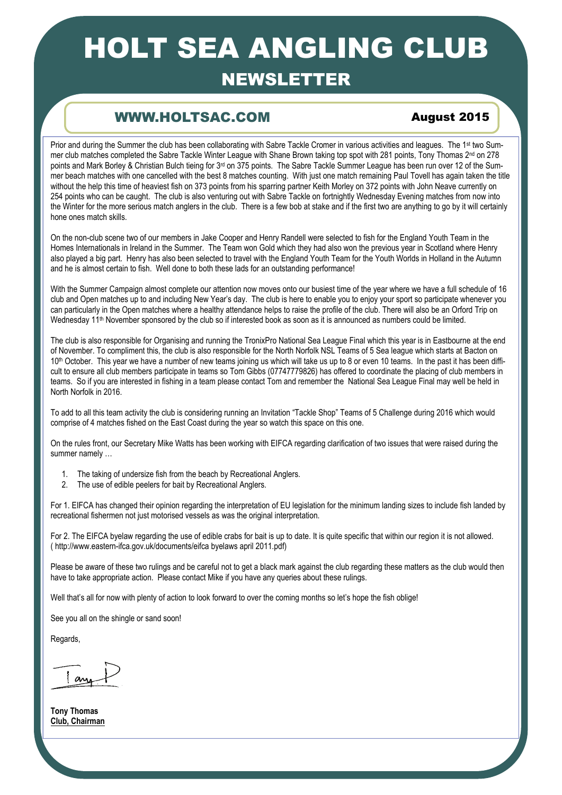# HOLT SEA ANGLING CLUB

# NEWSLETTER

# **WW.HOLTSAC.COM August 2015**

Prior and during the Summer the club has been collaborating with Sabre Tackle Cromer in various activities and leagues. The 1<sup>st</sup> two Summer club matches completed the Sabre Tackle Winter League with Shane Brown taking top spot with 281 points, Tony Thomas 2<sup>nd</sup> on 278 points and Mark Borley & Christian Bulch tieing for 3<sup>rd</sup> on 375 points. The Sabre Tackle Summer League has been run over 12 of the Summer beach matches with one cancelled with the best 8 matches counting. With just one match remaining Paul Tovell has again taken the title without the help this time of heaviest fish on 373 points from his sparring partner Keith Morley on 372 points with John Neave currently on 254 points who can be caught. The club is also venturing out with Sabre Tackle on fortnightly Wednesday Evening matches from now into the Winter for the more serious match anglers in the club. There is a few bob at stake and if the first two are anything to go by it will certainly hone ones match skills.

On the non-club scene two of our members in Jake Cooper and Henry Randell were selected to fish for the England Youth Team in the Homes Internationals in Ireland in the Summer. The Team won Gold which they had also won the previous year in Scotland where Henry also played a big part. Henry has also been selected to travel with the England Youth Team for the Youth Worlds in Holland in the Autumn and he is almost certain to fish. Well done to both these lads for an outstanding performance!

With the Summer Campaign almost complete our attention now moves onto our busiest time of the year where we have a full schedule of 16 club and Open matches up to and including New Year's day. The club is here to enable you to enjoy your sport so participate whenever you can particularly in the Open matches where a healthy attendance helps to raise the profile of the club. There will also be an Orford Trip on Wednesday 11<sup>th</sup> November sponsored by the club so if interested book as soon as it is announced as numbers could be limited.

The club is also responsible for Organising and running the TronixPro National Sea League Final which this year is in Eastbourne at the end of November. To compliment this, the club is also responsible for the North Norfolk NSL Teams of 5 Sea league which starts at Bacton on 10<sup>th</sup> October. This year we have a number of new teams joining us which will take us up to 8 or even 10 teams. In the past it has been difficult to ensure all club members participate in teams so Tom Gibbs (07747779826) has offered to coordinate the placing of club members in teams. So if you are interested in fishing in a team please contact Tom and remember the National Sea League Final may well be held in North Norfolk in 2016.

To add to all this team activity the club is considering running an Invitation "Tackle Shop" Teams of 5 Challenge during 2016 which would comprise of 4 matches fished on the East Coast during the year so watch this space on this one.

On the rules front, our Secretary Mike Watts has been working with EIFCA regarding clarification of two issues that were raised during the summer namely …

- 1. The taking of undersize fish from the beach by Recreational Anglers.
- 2. The use of edible peelers for bait by Recreational Anglers.

For 1. EIFCA has changed their opinion regarding the interpretation of EU legislation for the minimum landing sizes to include fish landed by recreational fishermen not just motorised vessels as was the original interpretation.

For 2. The EIFCA byelaw regarding the use of edible crabs for bait is up to date. It is quite specific that within our region it is not allowed. ( http://www.eastern-ifca.gov.uk/documents/eifca byelaws april 2011.pdf)

Please be aware of these two rulings and be careful not to get a black mark against the club regarding these matters as the club would then have to take appropriate action. Please contact Mike if you have any queries about these rulings.

Well that's all for now with plenty of action to look forward to over the coming months so let's hope the fish oblige!

See you all on the shingle or sand soon!

Regards,

an

**Tony Thomas Club, Chairman**